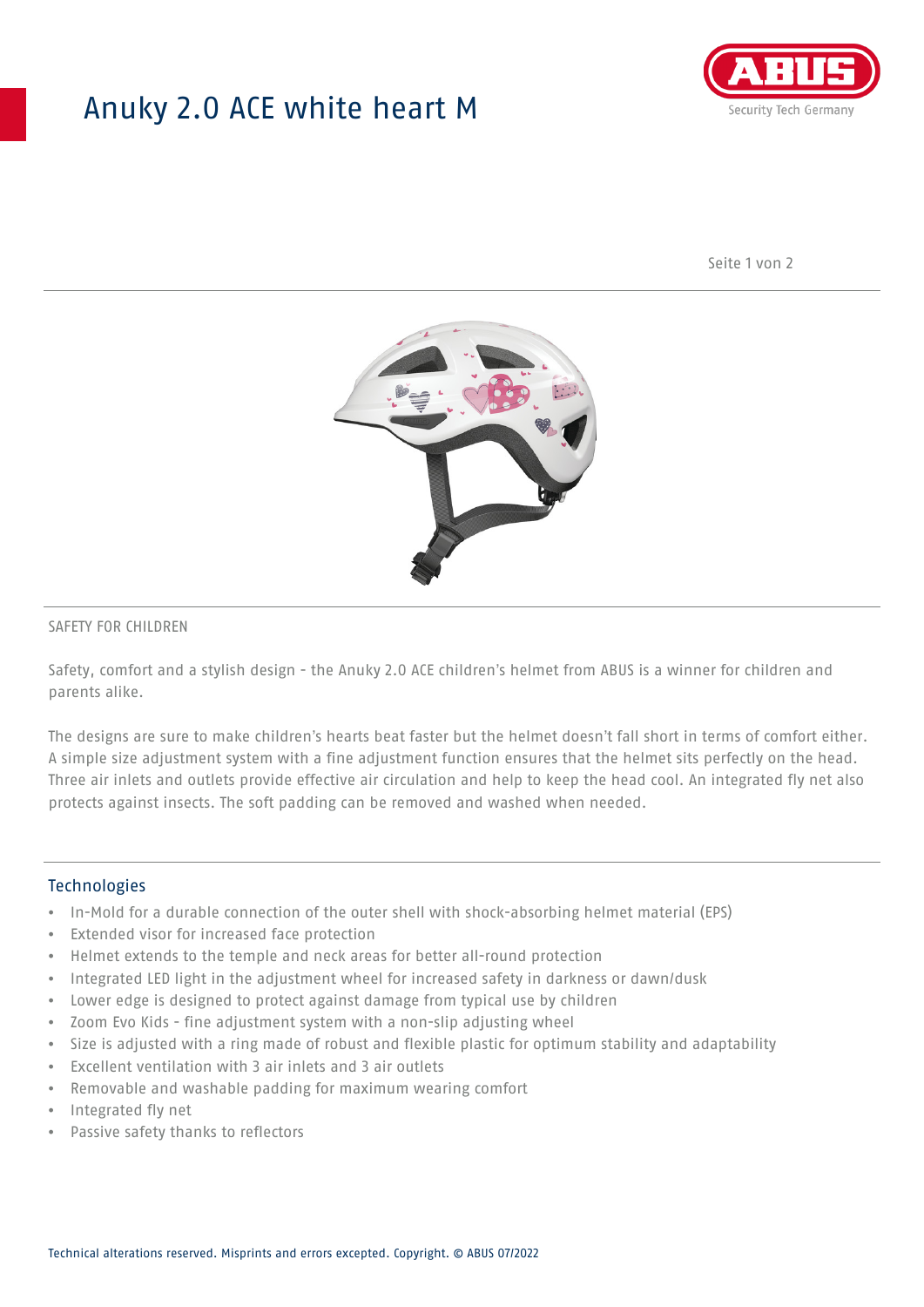# Anuky 2.0 ACE white heart M



Seite 1 von 2



### SAFETY FOR CHILDREN

Safety, comfort and a stylish design - the Anuky 2.0 ACE children's helmet from ABUS is a winner for children and parents alike.

The designs are sure to make children's hearts beat faster but the helmet doesn't fall short in terms of comfort either. A simple size adjustment system with a fine adjustment function ensures that the helmet sits perfectly on the head. Three air inlets and outlets provide effective air circulation and help to keep the head cool. An integrated fly net also protects against insects. The soft padding can be removed and washed when needed.

#### **Technologies**

- In-Mold for a durable connection of the outer shell with shock-absorbing helmet material (EPS)
- Extended visor for increased face protection
- Helmet extends to the temple and neck areas for better all-round protection
- Integrated LED light in the adjustment wheel for increased safety in darkness or dawn/dusk
- Lower edge is designed to protect against damage from typical use by children
- Zoom Evo Kids fine adjustment system with a non-slip adjusting wheel
- Size is adjusted with a ring made of robust and flexible plastic for optimum stability and adaptability
- Excellent ventilation with 3 air inlets and 3 air outlets
- Removable and washable padding for maximum wearing comfort
- Integrated fly net
- Passive safety thanks to reflectors